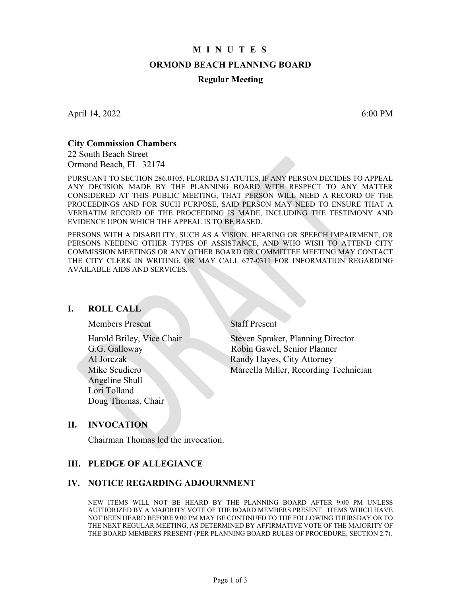## **M I N U T E S**

#### **ORMOND BEACH PLANNING BOARD**

#### **Regular Meeting**

April 14, 2022 6:00 PM

#### **City Commission Chambers**

22 South Beach Street Ormond Beach, FL 32174

PURSUANT TO SECTION 286.0105, FLORIDA STATUTES, IF ANY PERSON DECIDES TO APPEAL ANY DECISION MADE BY THE PLANNING BOARD WITH RESPECT TO ANY MATTER CONSIDERED AT THIS PUBLIC MEETING, THAT PERSON WILL NEED A RECORD OF THE PROCEEDINGS AND FOR SUCH PURPOSE, SAID PERSON MAY NEED TO ENSURE THAT A VERBATIM RECORD OF THE PROCEEDING IS MADE, INCLUDING THE TESTIMONY AND EVIDENCE UPON WHICH THE APPEAL IS TO BE BASED.

PERSONS WITH A DISABILITY, SUCH AS A VISION, HEARING OR SPEECH IMPAIRMENT, OR PERSONS NEEDING OTHER TYPES OF ASSISTANCE, AND WHO WISH TO ATTEND CITY COMMISSION MEETINGS OR ANY OTHER BOARD OR COMMITTEE MEETING MAY CONTACT THE CITY CLERK IN WRITING, OR MAY CALL 677-0311 FOR INFORMATION REGARDING AVAILABLE AIDS AND SERVICES.

#### **I. ROLL CALL**

Members Present Staff Present

 Angeline Shull Lori Tolland Doug Thomas, Chair

Harold Briley, Vice Chair Steven Spraker, Planning Director G.G. Galloway Robin Gawel, Senior Planner Al Jorczak Randy Hayes, City Attorney Mike Scudiero Marcella Miller, Recording Technician

#### **II. INVOCATION**

Chairman Thomas led the invocation.

## **III. PLEDGE OF ALLEGIANCE**

#### **IV. NOTICE REGARDING ADJOURNMENT**

NEW ITEMS WILL NOT BE HEARD BY THE PLANNING BOARD AFTER 9:00 PM UNLESS AUTHORIZED BY A MAJORITY VOTE OF THE BOARD MEMBERS PRESENT. ITEMS WHICH HAVE NOT BEEN HEARD BEFORE 9:00 PM MAY BE CONTINUED TO THE FOLLOWING THURSDAY OR TO THE NEXT REGULAR MEETING, AS DETERMINED BY AFFIRMATIVE VOTE OF THE MAJORITY OF THE BOARD MEMBERS PRESENT (PER PLANNING BOARD RULES OF PROCEDURE, SECTION 2.7).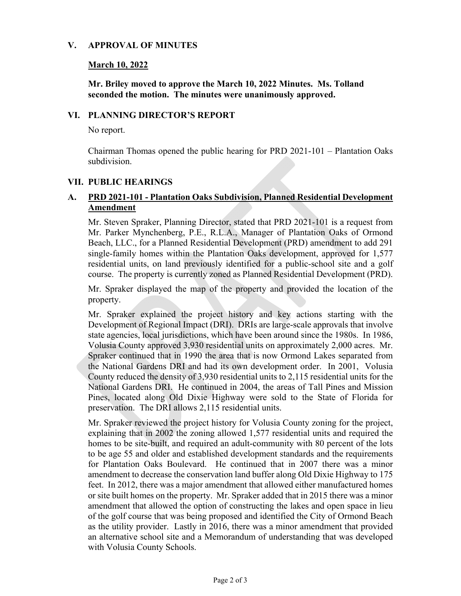## **V. APPROVAL OF MINUTES**

## **March 10, 2022**

**Mr. Briley moved to approve the March 10, 2022 Minutes. Ms. Tolland seconded the motion. The minutes were unanimously approved.** 

## **VI. PLANNING DIRECTOR'S REPORT**

No report.

Chairman Thomas opened the public hearing for PRD 2021-101 – Plantation Oaks subdivision.

## **VII. PUBLIC HEARINGS**

# **A. PRD 2021-101 - Plantation Oaks Subdivision, Planned Residential Development Amendment**

Mr. Steven Spraker, Planning Director, stated that PRD 2021-101 is a request from Mr. Parker Mynchenberg, P.E., R.L.A., Manager of Plantation Oaks of Ormond Beach, LLC., for a Planned Residential Development (PRD) amendment to add 291 single-family homes within the Plantation Oaks development, approved for 1,577 residential units, on land previously identified for a public-school site and a golf course. The property is currently zoned as Planned Residential Development (PRD).

Mr. Spraker displayed the map of the property and provided the location of the property.

Mr. Spraker explained the project history and key actions starting with the Development of Regional Impact (DRI). DRIs are large-scale approvals that involve state agencies, local jurisdictions, which have been around since the 1980s. In 1986, Volusia County approved 3,930 residential units on approximately 2,000 acres. Mr. Spraker continued that in 1990 the area that is now Ormond Lakes separated from the National Gardens DRI and had its own development order. In 2001, Volusia County reduced the density of 3,930 residential units to 2,115 residential units for the National Gardens DRI. He continued in 2004, the areas of Tall Pines and Mission Pines, located along Old Dixie Highway were sold to the State of Florida for preservation. The DRI allows 2,115 residential units.

Mr. Spraker reviewed the project history for Volusia County zoning for the project, explaining that in 2002 the zoning allowed 1,577 residential units and required the homes to be site-built, and required an adult-community with 80 percent of the lots to be age 55 and older and established development standards and the requirements for Plantation Oaks Boulevard. He continued that in 2007 there was a minor amendment to decrease the conservation land buffer along Old Dixie Highway to 175 feet. In 2012, there was a major amendment that allowed either manufactured homes or site built homes on the property. Mr. Spraker added that in 2015 there was a minor amendment that allowed the option of constructing the lakes and open space in lieu of the golf course that was being proposed and identified the City of Ormond Beach as the utility provider. Lastly in 2016, there was a minor amendment that provided an alternative school site and a Memorandum of understanding that was developed with Volusia County Schools.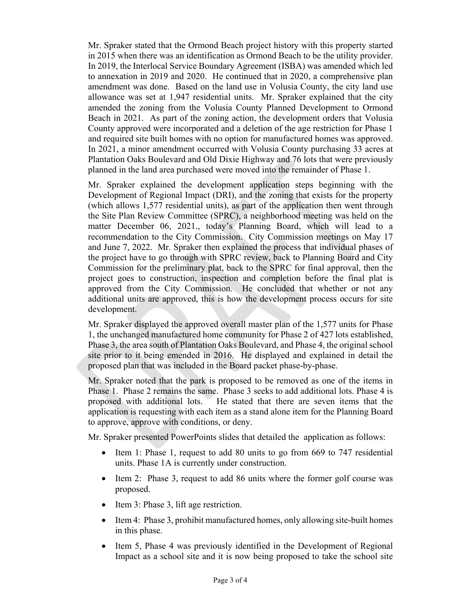Mr. Spraker stated that the Ormond Beach project history with this property started in 2015 when there was an identification as Ormond Beach to be the utility provider. In 2019, the Interlocal Service Boundary Agreement (ISBA) was amended which led to annexation in 2019 and 2020. He continued that in 2020, a comprehensive plan amendment was done. Based on the land use in Volusia County, the city land use allowance was set at 1,947 residential units. Mr. Spraker explained that the city amended the zoning from the Volusia County Planned Development to Ormond Beach in 2021. As part of the zoning action, the development orders that Volusia County approved were incorporated and a deletion of the age restriction for Phase 1 and required site built homes with no option for manufactured homes was approved. In 2021, a minor amendment occurred with Volusia County purchasing 33 acres at Plantation Oaks Boulevard and Old Dixie Highway and 76 lots that were previously planned in the land area purchased were moved into the remainder of Phase 1.

Mr. Spraker explained the development application steps beginning with the Development of Regional Impact (DRI), and the zoning that exists for the property (which allows 1,577 residential units), as part of the application then went through the Site Plan Review Committee (SPRC), a neighborhood meeting was held on the matter December 06, 2021., today's Planning Board, which will lead to a recommendation to the City Commission. City Commission meetings on May 17 and June 7, 2022. Mr. Spraker then explained the process that individual phases of the project have to go through with SPRC review, back to Planning Board and City Commission for the preliminary plat, back to the SPRC for final approval, then the project goes to construction, inspection and completion before the final plat is approved from the City Commission. He concluded that whether or not any additional units are approved, this is how the development process occurs for site development.

Mr. Spraker displayed the approved overall master plan of the 1,577 units for Phase 1, the unchanged manufactured home community for Phase 2 of 427 lots established, Phase 3, the area south of Plantation Oaks Boulevard, and Phase 4, the original school site prior to it being emended in 2016. He displayed and explained in detail the proposed plan that was included in the Board packet phase-by-phase.

Mr. Spraker noted that the park is proposed to be removed as one of the items in Phase 1. Phase 2 remains the same. Phase 3 seeks to add additional lots. Phase 4 is proposed with additional lots. He stated that there are seven items that the application is requesting with each item as a stand alone item for the Planning Board to approve, approve with conditions, or deny.

Mr. Spraker presented PowerPoints slides that detailed the application as follows:

- $\bullet$  Item 1: Phase 1, request to add 80 units to go from 669 to 747 residential units. Phase 1A is currently under construction.
- Item 2: Phase 3, request to add 86 units where the former golf course was proposed.
- Item 3: Phase 3, lift age restriction.
- Item 4: Phase 3, prohibit manufactured homes, only allowing site-built homes in this phase.
- Item 5, Phase 4 was previously identified in the Development of Regional Impact as a school site and it is now being proposed to take the school site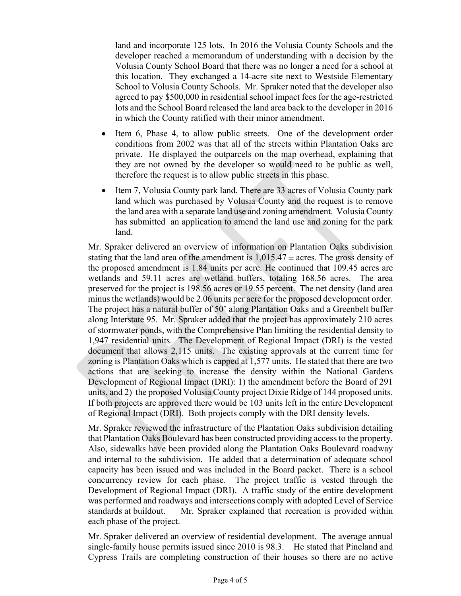land and incorporate 125 lots. In 2016 the Volusia County Schools and the developer reached a memorandum of understanding with a decision by the Volusia County School Board that there was no longer a need for a school at this location. They exchanged a 14-acre site next to Westside Elementary School to Volusia County Schools. Mr. Spraker noted that the developer also agreed to pay \$500,000 in residential school impact fees for the age-restricted lots and the School Board released the land area back to the developer in 2016 in which the County ratified with their minor amendment.

- Item 6, Phase 4, to allow public streets. One of the development order conditions from 2002 was that all of the streets within Plantation Oaks are private. He displayed the outparcels on the map overhead, explaining that they are not owned by the developer so would need to be public as well, therefore the request is to allow public streets in this phase.
- Item 7, Volusia County park land. There are 33 acres of Volusia County park land which was purchased by Volusia County and the request is to remove the land area with a separate land use and zoning amendment. Volusia County has submitted an application to amend the land use and zoning for the park land.

Mr. Spraker delivered an overview of information on Plantation Oaks subdivision stating that the land area of the amendment is  $1,015.47 \pm \text{acres}$ . The gross density of the proposed amendment is 1.84 units per acre. He continued that 109.45 acres are wetlands and 59.11 acres are wetland buffers, totaling 168.56 acres. The area preserved for the project is 198.56 acres or 19.55 percent. The net density (land area minus the wetlands) would be 2.06 units per acre for the proposed development order. The project has a natural buffer of 50' along Plantation Oaks and a Greenbelt buffer along Interstate 95. Mr. Spraker added that the project has approximately 210 acres of stormwater ponds, with the Comprehensive Plan limiting the residential density to 1,947 residential units. The Development of Regional Impact (DRI) is the vested document that allows 2,115 units. The existing approvals at the current time for zoning is Plantation Oaks which is capped at 1,577 units. He stated that there are two actions that are seeking to increase the density within the National Gardens Development of Regional Impact (DRI): 1) the amendment before the Board of 291 units, and 2) the proposed Volusia County project Dixie Ridge of 144 proposed units. If both projects are approved there would be 103 units left in the entire Development of Regional Impact (DRI). Both projects comply with the DRI density levels.

Mr. Spraker reviewed the infrastructure of the Plantation Oaks subdivision detailing that Plantation Oaks Boulevard has been constructed providing access to the property. Also, sidewalks have been provided along the Plantation Oaks Boulevard roadway and internal to the subdivision. He added that a determination of adequate school capacity has been issued and was included in the Board packet. There is a school concurrency review for each phase. The project traffic is vested through the Development of Regional Impact (DRI). A traffic study of the entire development was performed and roadways and intersections comply with adopted Level of Service standards at buildout. Mr. Spraker explained that recreation is provided within each phase of the project.

Mr. Spraker delivered an overview of residential development. The average annual single-family house permits issued since 2010 is 98.3. He stated that Pineland and Cypress Trails are completing construction of their houses so there are no active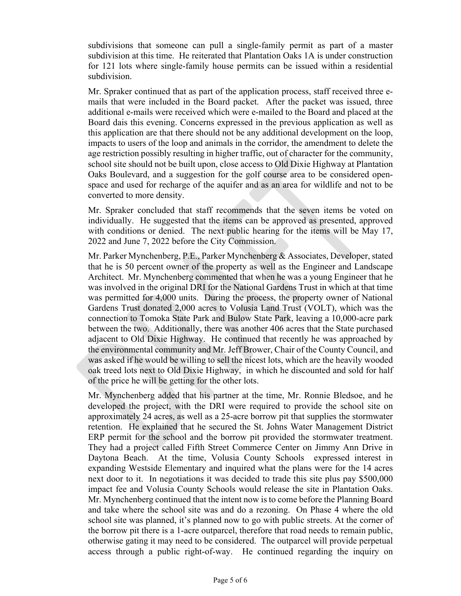subdivisions that someone can pull a single-family permit as part of a master subdivision at this time. He reiterated that Plantation Oaks 1A is under construction for 121 lots where single-family house permits can be issued within a residential subdivision.

Mr. Spraker continued that as part of the application process, staff received three emails that were included in the Board packet. After the packet was issued, three additional e-mails were received which were e-mailed to the Board and placed at the Board dais this evening. Concerns expressed in the previous application as well as this application are that there should not be any additional development on the loop, impacts to users of the loop and animals in the corridor, the amendment to delete the age restriction possibly resulting in higher traffic, out of character for the community, school site should not be built upon, close access to Old Dixie Highway at Plantation Oaks Boulevard, and a suggestion for the golf course area to be considered openspace and used for recharge of the aquifer and as an area for wildlife and not to be converted to more density.

Mr. Spraker concluded that staff recommends that the seven items be voted on individually. He suggested that the items can be approved as presented, approved with conditions or denied. The next public hearing for the items will be May 17, 2022 and June 7, 2022 before the City Commission.

Mr. Parker Mynchenberg, P.E., Parker Mynchenberg & Associates, Developer, stated that he is 50 percent owner of the property as well as the Engineer and Landscape Architect. Mr. Mynchenberg commented that when he was a young Engineer that he was involved in the original DRI for the National Gardens Trust in which at that time was permitted for 4,000 units. During the process, the property owner of National Gardens Trust donated 2,000 acres to Volusia Land Trust (VOLT), which was the connection to Tomoka State Park and Bulow State Park, leaving a 10,000-acre park between the two. Additionally, there was another 406 acres that the State purchased adjacent to Old Dixie Highway. He continued that recently he was approached by the environmental community and Mr. Jeff Brower, Chair of the County Council, and was asked if he would be willing to sell the nicest lots, which are the heavily wooded oak treed lots next to Old Dixie Highway, in which he discounted and sold for half of the price he will be getting for the other lots.

Mr. Mynchenberg added that his partner at the time, Mr. Ronnie Bledsoe, and he developed the project, with the DRI were required to provide the school site on approximately 24 acres, as well as a 25-acre borrow pit that supplies the stormwater retention. He explained that he secured the St. Johns Water Management District ERP permit for the school and the borrow pit provided the stormwater treatment. They had a project called Fifth Street Commerce Center on Jimmy Ann Drive in Daytona Beach. At the time, Volusia County Schools expressed interest in expanding Westside Elementary and inquired what the plans were for the 14 acres next door to it. In negotiations it was decided to trade this site plus pay \$500,000 impact fee and Volusia County Schools would release the site in Plantation Oaks. Mr. Mynchenberg continued that the intent now is to come before the Planning Board and take where the school site was and do a rezoning. On Phase 4 where the old school site was planned, it's planned now to go with public streets. At the corner of the borrow pit there is a 1-acre outparcel, therefore that road needs to remain public, otherwise gating it may need to be considered. The outparcel will provide perpetual access through a public right-of-way. He continued regarding the inquiry on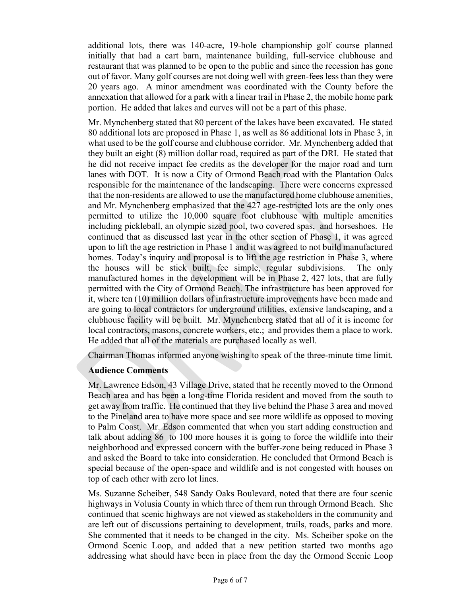additional lots, there was 140-acre, 19-hole championship golf course planned initially that had a cart barn, maintenance building, full-service clubhouse and restaurant that was planned to be open to the public and since the recession has gone out of favor. Many golf courses are not doing well with green-fees less than they were 20 years ago. A minor amendment was coordinated with the County before the annexation that allowed for a park with a linear trail in Phase 2, the mobile home park portion. He added that lakes and curves will not be a part of this phase.

Mr. Mynchenberg stated that 80 percent of the lakes have been excavated. He stated 80 additional lots are proposed in Phase 1, as well as 86 additional lots in Phase 3, in what used to be the golf course and clubhouse corridor. Mr. Mynchenberg added that they built an eight (8) million dollar road, required as part of the DRI. He stated that he did not receive impact fee credits as the developer for the major road and turn lanes with DOT. It is now a City of Ormond Beach road with the Plantation Oaks responsible for the maintenance of the landscaping. There were concerns expressed that the non-residents are allowed to use the manufactured home clubhouse amenities, and Mr. Mynchenberg emphasized that the 427 age-restricted lots are the only ones permitted to utilize the 10,000 square foot clubhouse with multiple amenities including pickleball, an olympic sized pool, two covered spas, and horseshoes. He continued that as discussed last year in the other section of Phase 1, it was agreed upon to lift the age restriction in Phase 1 and it was agreed to not build manufactured homes. Today's inquiry and proposal is to lift the age restriction in Phase 3, where the houses will be stick built, fee simple, regular subdivisions. The only manufactured homes in the development will be in Phase 2, 427 lots, that are fully permitted with the City of Ormond Beach. The infrastructure has been approved for it, where ten (10) million dollars of infrastructure improvements have been made and are going to local contractors for underground utilities, extensive landscaping, and a clubhouse facility will be built. Mr. Mynchenberg stated that all of it is income for local contractors, masons, concrete workers, etc.; and provides them a place to work. He added that all of the materials are purchased locally as well.

Chairman Thomas informed anyone wishing to speak of the three-minute time limit.

### **Audience Comments**

Mr. Lawrence Edson, 43 Village Drive, stated that he recently moved to the Ormond Beach area and has been a long-time Florida resident and moved from the south to get away from traffic. He continued that they live behind the Phase 3 area and moved to the Pineland area to have more space and see more wildlife as opposed to moving to Palm Coast. Mr. Edson commented that when you start adding construction and talk about adding 86 to 100 more houses it is going to force the wildlife into their neighborhood and expressed concern with the buffer-zone being reduced in Phase 3 and asked the Board to take into consideration. He concluded that Ormond Beach is special because of the open-space and wildlife and is not congested with houses on top of each other with zero lot lines.

Ms. Suzanne Scheiber, 548 Sandy Oaks Boulevard, noted that there are four scenic highways in Volusia County in which three of them run through Ormond Beach. She continued that scenic highways are not viewed as stakeholders in the community and are left out of discussions pertaining to development, trails, roads, parks and more. She commented that it needs to be changed in the city. Ms. Scheiber spoke on the Ormond Scenic Loop, and added that a new petition started two months ago addressing what should have been in place from the day the Ormond Scenic Loop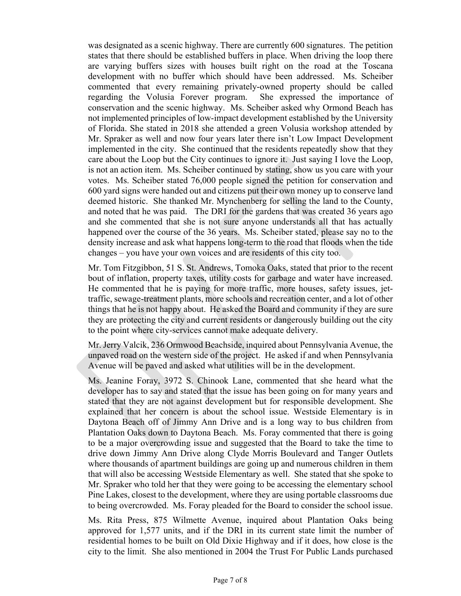was designated as a scenic highway. There are currently 600 signatures. The petition states that there should be established buffers in place. When driving the loop there are varying buffers sizes with houses built right on the road at the Toscana development with no buffer which should have been addressed. Ms. Scheiber commented that every remaining privately-owned property should be called regarding the Volusia Forever program. She expressed the importance of conservation and the scenic highway. Ms. Scheiber asked why Ormond Beach has not implemented principles of low-impact development established by the University of Florida. She stated in 2018 she attended a green Volusia workshop attended by Mr. Spraker as well and now four years later there isn't Low Impact Development implemented in the city. She continued that the residents repeatedly show that they care about the Loop but the City continues to ignore it. Just saying I love the Loop*,*  is not an action item. Ms. Scheiber continued by stating, show us you care with your votes. Ms. Scheiber stated 76,000 people signed the petition for conservation and 600 yard signs were handed out and citizens put their own money up to conserve land deemed historic. She thanked Mr. Mynchenberg for selling the land to the County, and noted that he was paid. The DRI for the gardens that was created 36 years ago and she commented that she is not sure anyone understands all that has actually happened over the course of the 36 years. Ms. Scheiber stated, please say no to the density increase and ask what happens long-term to the road that floods when the tide changes – you have your own voices and are residents of this city too.

Mr. Tom Fitzgibbon, 51 S. St. Andrews, Tomoka Oaks, stated that prior to the recent bout of inflation, property taxes, utility costs for garbage and water have increased. He commented that he is paying for more traffic, more houses, safety issues, jettraffic, sewage-treatment plants, more schools and recreation center, and a lot of other things that he is not happy about. He asked the Board and community if they are sure they are protecting the city and current residents or dangerously building out the city to the point where city-services cannot make adequate delivery.

Mr. Jerry Valcik, 236 Ormwood Beachside, inquired about Pennsylvania Avenue, the unpaved road on the western side of the project. He asked if and when Pennsylvania Avenue will be paved and asked what utilities will be in the development.

Ms. Jeanine Foray, 3972 S. Chinook Lane, commented that she heard what the developer has to say and stated that the issue has been going on for many years and stated that they are not against development but for responsible development. She explained that her concern is about the school issue. Westside Elementary is in Daytona Beach off of Jimmy Ann Drive and is a long way to bus children from Plantation Oaks down to Daytona Beach. Ms. Foray commented that there is going to be a major overcrowding issue and suggested that the Board to take the time to drive down Jimmy Ann Drive along Clyde Morris Boulevard and Tanger Outlets where thousands of apartment buildings are going up and numerous children in them that will also be accessing Westside Elementary as well. She stated that she spoke to Mr. Spraker who told her that they were going to be accessing the elementary school Pine Lakes, closest to the development, where they are using portable classrooms due to being overcrowded. Ms. Foray pleaded for the Board to consider the school issue.

Ms. Rita Press, 875 Wilmette Avenue, inquired about Plantation Oaks being approved for 1,577 units, and if the DRI in its current state limit the number of residential homes to be built on Old Dixie Highway and if it does, how close is the city to the limit. She also mentioned in 2004 the Trust For Public Lands purchased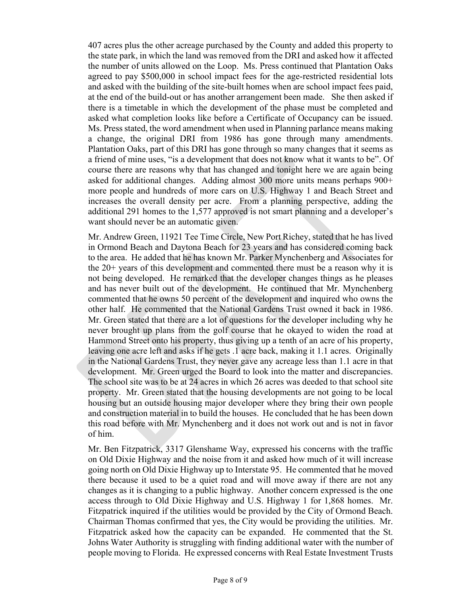407 acres plus the other acreage purchased by the County and added this property to the state park, in which the land was removed from the DRI and asked how it affected the number of units allowed on the Loop. Ms. Press continued that Plantation Oaks agreed to pay \$500,000 in school impact fees for the age-restricted residential lots and asked with the building of the site-built homes when are school impact fees paid, at the end of the build-out or has another arrangement been made. She then asked if there is a timetable in which the development of the phase must be completed and asked what completion looks like before a Certificate of Occupancy can be issued. Ms. Press stated, the word amendment when used in Planning parlance means making a change, the original DRI from 1986 has gone through many amendments. Plantation Oaks, part of this DRI has gone through so many changes that it seems as a friend of mine uses, "is a development that does not know what it wants to be". Of course there are reasons why that has changed and tonight here we are again being asked for additional changes. Adding almost 300 more units means perhaps 900+ more people and hundreds of more cars on U.S. Highway 1 and Beach Street and increases the overall density per acre. From a planning perspective, adding the additional 291 homes to the 1,577 approved is not smart planning and a developer's want should never be an automatic given.

Mr. Andrew Green, 11921 Tee Time Circle, New Port Richey, stated that he has lived in Ormond Beach and Daytona Beach for 23 years and has considered coming back to the area. He added that he has known Mr. Parker Mynchenberg and Associates for the 20+ years of this development and commented there must be a reason why it is not being developed. He remarked that the developer changes things as he pleases and has never built out of the development. He continued that Mr. Mynchenberg commented that he owns 50 percent of the development and inquired who owns the other half. He commented that the National Gardens Trust owned it back in 1986. Mr. Green stated that there are a lot of questions for the developer including why he never brought up plans from the golf course that he okayed to widen the road at Hammond Street onto his property, thus giving up a tenth of an acre of his property, leaving one acre left and asks if he gets .1 acre back, making it 1.1 acres. Originally in the National Gardens Trust, they never gave any acreage less than 1.1 acre in that development. Mr. Green urged the Board to look into the matter and discrepancies. The school site was to be at 24 acres in which 26 acres was deeded to that school site property. Mr. Green stated that the housing developments are not going to be local housing but an outside housing major developer where they bring their own people and construction material in to build the houses. He concluded that he has been down this road before with Mr. Mynchenberg and it does not work out and is not in favor of him.

Mr. Ben Fitzpatrick, 3317 Glenshame Way, expressed his concerns with the traffic on Old Dixie Highway and the noise from it and asked how much of it will increase going north on Old Dixie Highway up to Interstate 95. He commented that he moved there because it used to be a quiet road and will move away if there are not any changes as it is changing to a public highway. Another concern expressed is the one access through to Old Dixie Highway and U.S. Highway 1 for 1,868 homes. Mr. Fitzpatrick inquired if the utilities would be provided by the City of Ormond Beach. Chairman Thomas confirmed that yes, the City would be providing the utilities. Mr. Fitzpatrick asked how the capacity can be expanded. He commented that the St. Johns Water Authority is struggling with finding additional water with the number of people moving to Florida. He expressed concerns with Real Estate Investment Trusts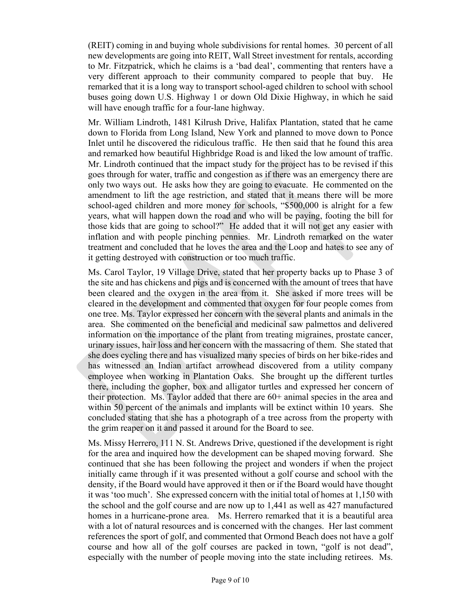(REIT) coming in and buying whole subdivisions for rental homes. 30 percent of all new developments are going into REIT, Wall Street investment for rentals, according to Mr. Fitzpatrick, which he claims is a 'bad deal', commenting that renters have a very different approach to their community compared to people that buy. He remarked that it is a long way to transport school-aged children to school with school buses going down U.S. Highway 1 or down Old Dixie Highway, in which he said will have enough traffic for a four-lane highway.

Mr. William Lindroth, 1481 Kilrush Drive, Halifax Plantation, stated that he came down to Florida from Long Island, New York and planned to move down to Ponce Inlet until he discovered the ridiculous traffic. He then said that he found this area and remarked how beautiful Highbridge Road is and liked the low amount of traffic. Mr. Lindroth continued that the impact study for the project has to be revised if this goes through for water, traffic and congestion as if there was an emergency there are only two ways out. He asks how they are going to evacuate. He commented on the amendment to lift the age restriction, and stated that it means there will be more school-aged children and more money for schools, "\$500,000 is alright for a few years, what will happen down the road and who will be paying, footing the bill for those kids that are going to school?" He added that it will not get any easier with inflation and with people pinching pennies. Mr. Lindroth remarked on the water treatment and concluded that he loves the area and the Loop and hates to see any of it getting destroyed with construction or too much traffic.

Ms. Carol Taylor, 19 Village Drive, stated that her property backs up to Phase 3 of the site and has chickens and pigs and is concerned with the amount of trees that have been cleared and the oxygen in the area from it. She asked if more trees will be cleared in the development and commented that oxygen for four people comes from one tree. Ms. Taylor expressed her concern with the several plants and animals in the area. She commented on the beneficial and medicinal saw palmettos and delivered information on the importance of the plant from treating migraines, prostate cancer, urinary issues, hair loss and her concern with the massacring of them. She stated that she does cycling there and has visualized many species of birds on her bike-rides and has witnessed an Indian artifact arrowhead discovered from a utility company employee when working in Plantation Oaks. She brought up the different turtles there, including the gopher, box and alligator turtles and expressed her concern of their protection. Ms. Taylor added that there are 60+ animal species in the area and within 50 percent of the animals and implants will be extinct within 10 years. She concluded stating that she has a photograph of a tree across from the property with the grim reaper on it and passed it around for the Board to see.

Ms. Missy Herrero, 111 N. St. Andrews Drive, questioned if the development is right for the area and inquired how the development can be shaped moving forward. She continued that she has been following the project and wonders if when the project initially came through if it was presented without a golf course and school with the density, if the Board would have approved it then or if the Board would have thought it was 'too much'. She expressed concern with the initial total of homes at 1,150 with the school and the golf course and are now up to 1,441 as well as 427 manufactured homes in a hurricane-prone area. Ms. Herrero remarked that it is a beautiful area with a lot of natural resources and is concerned with the changes. Her last comment references the sport of golf, and commented that Ormond Beach does not have a golf course and how all of the golf courses are packed in town, "golf is not dead", especially with the number of people moving into the state including retirees. Ms.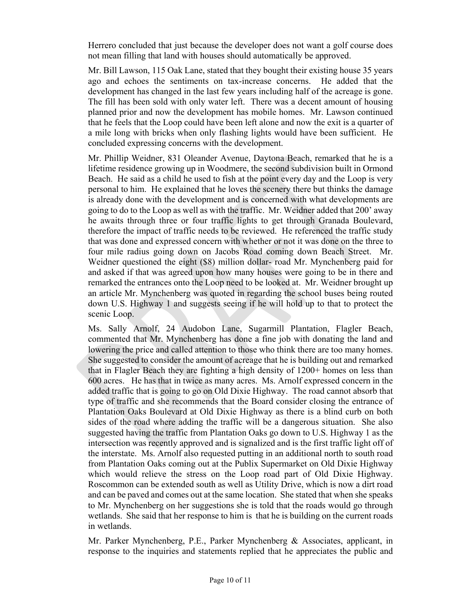Herrero concluded that just because the developer does not want a golf course does not mean filling that land with houses should automatically be approved.

Mr. Bill Lawson, 115 Oak Lane, stated that they bought their existing house 35 years ago and echoes the sentiments on tax-increase concerns. He added that the development has changed in the last few years including half of the acreage is gone. The fill has been sold with only water left. There was a decent amount of housing planned prior and now the development has mobile homes. Mr. Lawson continued that he feels that the Loop could have been left alone and now the exit is a quarter of a mile long with bricks when only flashing lights would have been sufficient. He concluded expressing concerns with the development.

Mr. Phillip Weidner, 831 Oleander Avenue, Daytona Beach, remarked that he is a lifetime residence growing up in Woodmere, the second subdivision built in Ormond Beach. He said as a child he used to fish at the point every day and the Loop is very personal to him. He explained that he loves the scenery there but thinks the damage is already done with the development and is concerned with what developments are going to do to the Loop as well as with the traffic. Mr. Weidner added that 200' away he awaits through three or four traffic lights to get through Granada Boulevard, therefore the impact of traffic needs to be reviewed. He referenced the traffic study that was done and expressed concern with whether or not it was done on the three to four mile radius going down on Jacobs Road coming down Beach Street. Mr. Weidner questioned the eight (\$8) million dollar- road Mr. Mynchenberg paid for and asked if that was agreed upon how many houses were going to be in there and remarked the entrances onto the Loop need to be looked at. Mr. Weidner brought up an article Mr. Mynchenberg was quoted in regarding the school buses being routed down U.S. Highway 1 and suggests seeing if he will hold up to that to protect the scenic Loop.

Ms. Sally Arnolf, 24 Audobon Lane, Sugarmill Plantation, Flagler Beach, commented that Mr. Mynchenberg has done a fine job with donating the land and lowering the price and called attention to those who think there are too many homes. She suggested to consider the amount of acreage that he is building out and remarked that in Flagler Beach they are fighting a high density of 1200+ homes on less than 600 acres. He has that in twice as many acres. Ms. Arnolf expressed concern in the added traffic that is going to go on Old Dixie Highway. The road cannot absorb that type of traffic and she recommends that the Board consider closing the entrance of Plantation Oaks Boulevard at Old Dixie Highway as there is a blind curb on both sides of the road where adding the traffic will be a dangerous situation. She also suggested having the traffic from Plantation Oaks go down to U.S. Highway 1 as the intersection was recently approved and is signalized and is the first traffic light off of the interstate. Ms. Arnolf also requested putting in an additional north to south road from Plantation Oaks coming out at the Publix Supermarket on Old Dixie Highway which would relieve the stress on the Loop road part of Old Dixie Highway. Roscommon can be extended south as well as Utility Drive, which is now a dirt road and can be paved and comes out at the same location. She stated that when she speaks to Mr. Mynchenberg on her suggestions she is told that the roads would go through wetlands. She said that her response to him is that he is building on the current roads in wetlands.

Mr. Parker Mynchenberg, P.E., Parker Mynchenberg & Associates, applicant, in response to the inquiries and statements replied that he appreciates the public and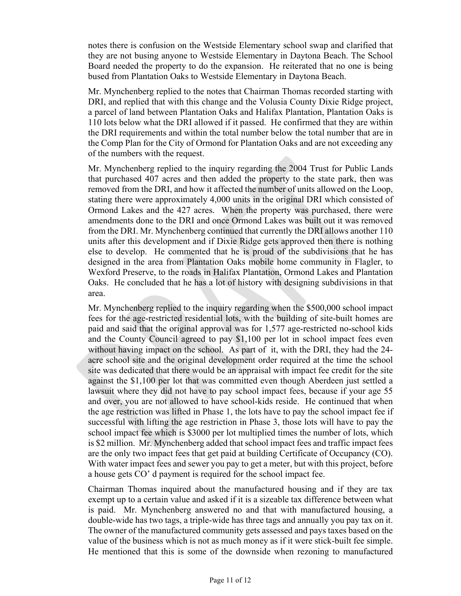notes there is confusion on the Westside Elementary school swap and clarified that they are not busing anyone to Westside Elementary in Daytona Beach. The School Board needed the property to do the expansion. He reiterated that no one is being bused from Plantation Oaks to Westside Elementary in Daytona Beach.

Mr. Mynchenberg replied to the notes that Chairman Thomas recorded starting with DRI, and replied that with this change and the Volusia County Dixie Ridge project, a parcel of land between Plantation Oaks and Halifax Plantation, Plantation Oaks is 110 lots below what the DRI allowed if it passed. He confirmed that they are within the DRI requirements and within the total number below the total number that are in the Comp Plan for the City of Ormond for Plantation Oaks and are not exceeding any of the numbers with the request.

Mr. Mynchenberg replied to the inquiry regarding the 2004 Trust for Public Lands that purchased 407 acres and then added the property to the state park, then was removed from the DRI, and how it affected the number of units allowed on the Loop, stating there were approximately 4,000 units in the original DRI which consisted of Ormond Lakes and the 427 acres. When the property was purchased, there were amendments done to the DRI and once Ormond Lakes was built out it was removed from the DRI. Mr. Mynchenberg continued that currently the DRI allows another 110 units after this development and if Dixie Ridge gets approved then there is nothing else to develop. He commented that he is proud of the subdivisions that he has designed in the area from Plantation Oaks mobile home community in Flagler, to Wexford Preserve, to the roads in Halifax Plantation, Ormond Lakes and Plantation Oaks. He concluded that he has a lot of history with designing subdivisions in that area.

Mr. Mynchenberg replied to the inquiry regarding when the \$500,000 school impact fees for the age-restricted residential lots, with the building of site-built homes are paid and said that the original approval was for 1,577 age-restricted no-school kids and the County Council agreed to pay \$1,100 per lot in school impact fees even without having impact on the school. As part of it, with the DRI, they had the 24 acre school site and the original development order required at the time the school site was dedicated that there would be an appraisal with impact fee credit for the site against the \$1,100 per lot that was committed even though Aberdeen just settled a lawsuit where they did not have to pay school impact fees, because if your age 55 and over, you are not allowed to have school-kids reside. He continued that when the age restriction was lifted in Phase 1, the lots have to pay the school impact fee if successful with lifting the age restriction in Phase 3, those lots will have to pay the school impact fee which is \$3000 per lot multiplied times the number of lots, which is \$2 million. Mr. Mynchenberg added that school impact fees and traffic impact fees are the only two impact fees that get paid at building Certificate of Occupancy (CO). With water impact fees and sewer you pay to get a meter, but with this project, before a house gets CO' d payment is required for the school impact fee.

Chairman Thomas inquired about the manufactured housing and if they are tax exempt up to a certain value and asked if it is a sizeable tax difference between what is paid. Mr. Mynchenberg answered no and that with manufactured housing, a double-wide has two tags, a triple-wide has three tags and annually you pay tax on it. The owner of the manufactured community gets assessed and pays taxes based on the value of the business which is not as much money as if it were stick-built fee simple. He mentioned that this is some of the downside when rezoning to manufactured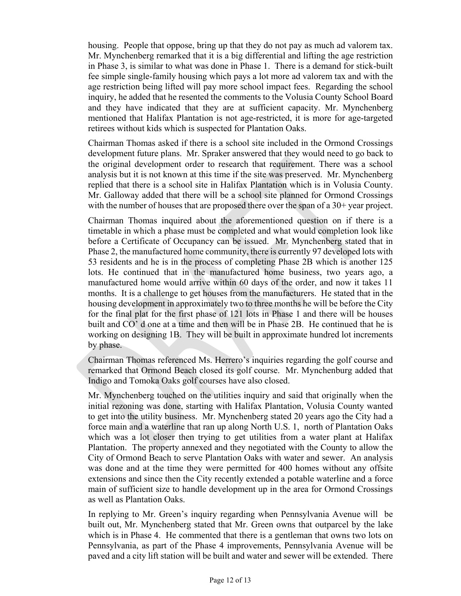housing. People that oppose, bring up that they do not pay as much ad valorem tax. Mr. Mynchenberg remarked that it is a big differential and lifting the age restriction in Phase 3, is similar to what was done in Phase 1. There is a demand for stick-built fee simple single-family housing which pays a lot more ad valorem tax and with the age restriction being lifted will pay more school impact fees. Regarding the school inquiry, he added that he resented the comments to the Volusia County School Board and they have indicated that they are at sufficient capacity. Mr. Mynchenberg mentioned that Halifax Plantation is not age-restricted, it is more for age-targeted retirees without kids which is suspected for Plantation Oaks.

Chairman Thomas asked if there is a school site included in the Ormond Crossings development future plans. Mr. Spraker answered that they would need to go back to the original development order to research that requirement. There was a school analysis but it is not known at this time if the site was preserved. Mr. Mynchenberg replied that there is a school site in Halifax Plantation which is in Volusia County. Mr. Galloway added that there will be a school site planned for Ormond Crossings with the number of houses that are proposed there over the span of a 30+ year project.

Chairman Thomas inquired about the aforementioned question on if there is a timetable in which a phase must be completed and what would completion look like before a Certificate of Occupancy can be issued. Mr. Mynchenberg stated that in Phase 2, the manufactured home community, there is currently 97 developed lots with 53 residents and he is in the process of completing Phase 2B which is another 125 lots. He continued that in the manufactured home business, two years ago, a manufactured home would arrive within 60 days of the order, and now it takes 11 months. It is a challenge to get houses from the manufacturers. He stated that in the housing development in approximately two to three months he will be before the City for the final plat for the first phase of 121 lots in Phase 1 and there will be houses built and CO' d one at a time and then will be in Phase 2B. He continued that he is working on designing 1B. They will be built in approximate hundred lot increments by phase.

Chairman Thomas referenced Ms. Herrero's inquiries regarding the golf course and remarked that Ormond Beach closed its golf course. Mr. Mynchenburg added that Indigo and Tomoka Oaks golf courses have also closed.

Mr. Mynchenberg touched on the utilities inquiry and said that originally when the initial rezoning was done, starting with Halifax Plantation, Volusia County wanted to get into the utility business. Mr. Mynchenberg stated 20 years ago the City had a force main and a waterline that ran up along North U.S. 1, north of Plantation Oaks which was a lot closer then trying to get utilities from a water plant at Halifax Plantation. The property annexed and they negotiated with the County to allow the City of Ormond Beach to serve Plantation Oaks with water and sewer. An analysis was done and at the time they were permitted for 400 homes without any offsite extensions and since then the City recently extended a potable waterline and a force main of sufficient size to handle development up in the area for Ormond Crossings as well as Plantation Oaks.

In replying to Mr. Green's inquiry regarding when Pennsylvania Avenue will be built out, Mr. Mynchenberg stated that Mr. Green owns that outparcel by the lake which is in Phase 4. He commented that there is a gentleman that owns two lots on Pennsylvania, as part of the Phase 4 improvements, Pennsylvania Avenue will be paved and a city lift station will be built and water and sewer will be extended. There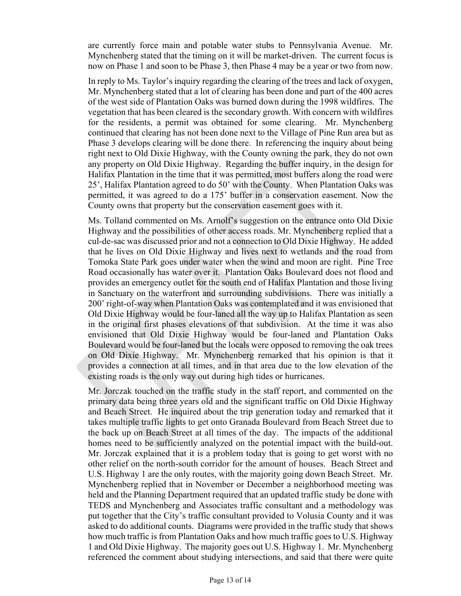are currently force main and potable water stubs to Pennsylvania Avenue. Mr. Mynchenberg stated that the timing on it will be market-driven. The current focus is now on Phase 1 and soon to be Phase 3, then Phase 4 may be a year or two from now.

In reply to Ms. Taylor's inquiry regarding the clearing of the trees and lack of oxygen, Mr. Mynchenberg stated that a lot of clearing has been done and part of the 400 acres of the west side of Plantation Oaks was burned down during the 1998 wildfires. The vegetation that has been cleared is the secondary growth. With concern with wildfires for the residents, a permit was obtained for some clearing. Mr. Mynchenberg continued that clearing has not been done next to the Village of Pine Run area but as Phase 3 develops clearing will be done there. In referencing the inquiry about being right next to Old Dixie Highway, with the County owning the park, they do not own any property on Old Dixie Highway. Regarding the buffer inquiry, in the design for Halifax Plantation in the time that it was permitted, most buffers along the road were 25', Halifax Plantation agreed to do 50' with the County. When Plantation Oaks was permitted, it was agreed to do a 175' buffer in a conservation easement. Now the County owns that property but the conservation easement goes with it.

Ms. Tolland commented on Ms. Arnolf's suggestion on the entrance onto Old Dixie Highway and the possibilities of other access roads. Mr. Mynchenberg replied that a cul-de-sac was discussed prior and not a connection to Old Dixie Highway. He added that he lives on Old Dixie Highway and lives next to wetlands and the road from Tomoka State Park goes under water when the wind and moon are right. Pine Tree Road occasionally has water over it. Plantation Oaks Boulevard does not flood and provides an emergency outlet for the south end of Halifax Plantation and those living in Sanctuary on the waterfront and surrounding subdivisions. There was initially a 200' right-of-way when Plantation Oaks was contemplated and it was envisioned that Old Dixie Highway would be four-laned all the way up to Halifax Plantation as seen in the original first phases elevations of that subdivision. At the time it was also envisioned that Old Dixie Highway would be four-laned and Plantation Oaks Boulevard would be four-laned but the locals were opposed to removing the oak trees on Old Dixie Highway. Mr. Mynchenberg remarked that his opinion is that it provides a connection at all times, and in that area due to the low elevation of the existing roads is the only way out during high tides or hurricanes.

Mr. Jorczak touched on the traffic study in the staff report, and commented on the primary data being three years old and the significant traffic on Old Dixie Highway and Beach Street. He inquired about the trip generation today and remarked that it takes multiple traffic lights to get onto Granada Boulevard from Beach Street due to the back up on Beach Street at all times of the day. The impacts of the additional homes need to be sufficiently analyzed on the potential impact with the build-out. Mr. Jorczak explained that it is a problem today that is going to get worst with no other relief on the north-south corridor for the amount of houses. Beach Street and U.S. Highway 1 are the only routes, with the majority going down Beach Street. Mr. Mynchenberg replied that in November or December a neighborhood meeting was held and the Planning Department required that an updated traffic study be done with TEDS and Mynchenberg and Associates traffic consultant and a methodology was put together that the City's traffic consultant provided to Volusia County and it was asked to do additional counts. Diagrams were provided in the traffic study that shows how much traffic is from Plantation Oaks and how much traffic goes to U.S. Highway 1 and Old Dixie Highway. The majority goes out U.S. Highway 1. Mr. Mynchenberg referenced the comment about studying intersections, and said that there were quite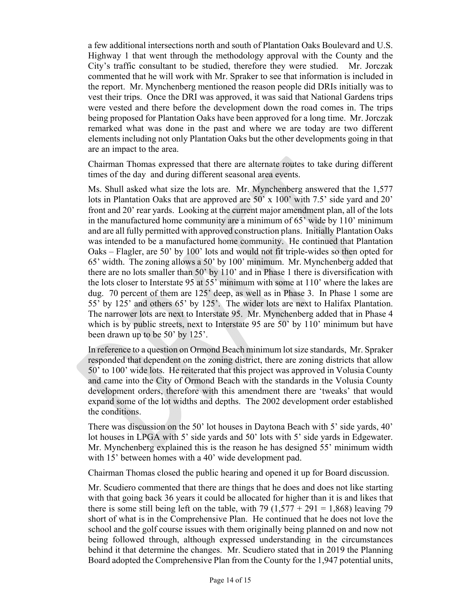a few additional intersections north and south of Plantation Oaks Boulevard and U.S. Highway 1 that went through the methodology approval with the County and the City's traffic consultant to be studied, therefore they were studied. Mr. Jorczak commented that he will work with Mr. Spraker to see that information is included in the report. Mr. Mynchenberg mentioned the reason people did DRIs initially was to vest their trips. Once the DRI was approved, it was said that National Gardens trips were vested and there before the development down the road comes in. The trips being proposed for Plantation Oaks have been approved for a long time. Mr. Jorczak remarked what was done in the past and where we are today are two different elements including not only Plantation Oaks but the other developments going in that are an impact to the area.

Chairman Thomas expressed that there are alternate routes to take during different times of the day and during different seasonal area events.

Ms. Shull asked what size the lots are. Mr. Mynchenberg answered that the 1,577 lots in Plantation Oaks that are approved are 50' x 100' with 7.5' side yard and 20' front and 20' rear yards. Looking at the current major amendment plan, all of the lots in the manufactured home community are a minimum of 65' wide by 110' minimum and are all fully permitted with approved construction plans. Initially Plantation Oaks was intended to be a manufactured home community. He continued that Plantation Oaks – Flagler, are 50' by 100' lots and would not fit triple-wides so then opted for 65' width. The zoning allows a 50' by 100' minimum. Mr. Mynchenberg added that there are no lots smaller than 50' by 110' and in Phase 1 there is diversification with the lots closer to Interstate 95 at 55' minimum with some at 110' where the lakes are dug. 70 percent of them are 125' deep, as well as in Phase 3. In Phase 1 some are 55' by 125' and others 65' by 125'. The wider lots are next to Halifax Plantation. The narrower lots are next to Interstate 95. Mr. Mynchenberg added that in Phase 4 which is by public streets, next to Interstate 95 are 50' by 110' minimum but have been drawn up to be 50' by 125'.

In reference to a question on Ormond Beach minimum lot size standards, Mr. Spraker responded that dependent on the zoning district, there are zoning districts that allow 50' to 100' wide lots. He reiterated that this project was approved in Volusia County and came into the City of Ormond Beach with the standards in the Volusia County development orders, therefore with this amendment there are 'tweaks' that would expand some of the lot widths and depths. The 2002 development order established the conditions.

There was discussion on the 50' lot houses in Daytona Beach with 5' side yards, 40' lot houses in LPGA with 5' side yards and 50' lots with 5' side yards in Edgewater. Mr. Mynchenberg explained this is the reason he has designed 55' minimum width with 15' between homes with a 40' wide development pad.

Chairman Thomas closed the public hearing and opened it up for Board discussion.

Mr. Scudiero commented that there are things that he does and does not like starting with that going back 36 years it could be allocated for higher than it is and likes that there is some still being left on the table, with  $79$   $(1,577 + 291 = 1,868)$  leaving 79 short of what is in the Comprehensive Plan. He continued that he does not love the school and the golf course issues with them originally being planned on and now not being followed through, although expressed understanding in the circumstances behind it that determine the changes. Mr. Scudiero stated that in 2019 the Planning Board adopted the Comprehensive Plan from the County for the 1,947 potential units,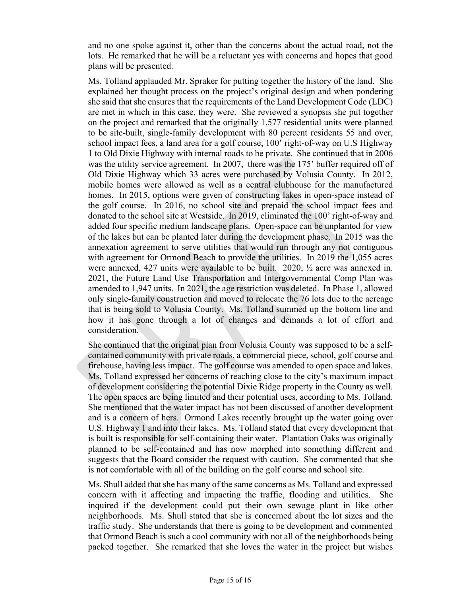and no one spoke against it, other than the concerns about the actual road, not the lots. He remarked that he will be a reluctant yes with concerns and hopes that good plans will be presented.

Ms. Tolland applauded Mr. Spraker for putting together the history of the land. She explained her thought process on the project's original design and when pondering she said that she ensures that the requirements of the Land Development Code (LDC) are met in which in this case, they were. She reviewed a synopsis she put together on the project and remarked that the originally 1,577 residential units were planned to be site-built, single-family development with 80 percent residents 55 and over, school impact fees, a land area for a golf course, 100' right-of-way on U.S Highway 1 to Old Dixie Highway with internal roads to be private. She continued that in 2006 was the utility service agreement. In 2007, there was the 175' buffer required off of Old Dixie Highway which 33 acres were purchased by Volusia County. In 2012, mobile homes were allowed as well as a central clubhouse for the manufactured homes. In 2015, options were given of constructing lakes in open-space instead of the golf course. In 2016, no school site and prepaid the school impact fees and donated to the school site at Westside. In 2019, eliminated the 100' right-of-way and added four specific medium landscape plans. Open-space can be unplanted for view of the lakes but can be planted later during the development phase. In 2015 was the annexation agreement to serve utilities that would run through any not contiguous with agreement for Ormond Beach to provide the utilities. In 2019 the 1,055 acres were annexed, 427 units were available to be built. 2020, ½ acre was annexed in. 2021, the Future Land Use Transportation and Intergovernmental Comp Plan was amended to 1,947 units. In 2021, the age restriction was deleted. In Phase 1, allowed only single-family construction and moved to relocate the 76 lots due to the acreage that is being sold to Volusia County. Ms. Tolland summed up the bottom line and how it has gone through a lot of changes and demands a lot of effort and consideration.

She continued that the original plan from Volusia County was supposed to be a selfcontained community with private roads, a commercial piece, school, golf course and firehouse, having less impact. The golf course was amended to open space and lakes. Ms. Tolland expressed her concerns of reaching close to the city's maximum impact of development considering the potential Dixie Ridge property in the County as well. The open spaces are being limited and their potential uses, according to Ms. Tolland. She mentioned that the water impact has not been discussed of another development and is a concern of hers. Ormond Lakes recently brought up the water going over U.S. Highway 1 and into their lakes. Ms. Tolland stated that every development that is built is responsible for self-containing their water. Plantation Oaks was originally planned to be self-contained and has now morphed into something different and suggests that the Board consider the request with caution. She commented that she is not comfortable with all of the building on the golf course and school site.

Ms. Shull added that she has many of the same concerns as Ms. Tolland and expressed concern with it affecting and impacting the traffic, flooding and utilities. She inquired if the development could put their own sewage plant in like other neighborhoods. Ms. Shull stated that she is concerned about the lot sizes and the traffic study. She understands that there is going to be development and commented that Ormond Beach is such a cool community with not all of the neighborhoods being packed together. She remarked that she loves the water in the project but wishes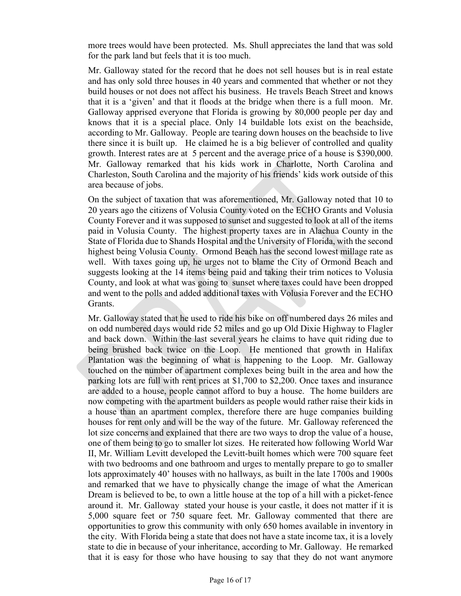more trees would have been protected. Ms. Shull appreciates the land that was sold for the park land but feels that it is too much.

Mr. Galloway stated for the record that he does not sell houses but is in real estate and has only sold three houses in 40 years and commented that whether or not they build houses or not does not affect his business. He travels Beach Street and knows that it is a 'given' and that it floods at the bridge when there is a full moon. Mr. Galloway apprised everyone that Florida is growing by 80,000 people per day and knows that it is a special place. Only 14 buildable lots exist on the beachside, according to Mr. Galloway. People are tearing down houses on the beachside to live there since it is built up. He claimed he is a big believer of controlled and quality growth. Interest rates are at 5 percent and the average price of a house is \$390,000. Mr. Galloway remarked that his kids work in Charlotte, North Carolina and Charleston, South Carolina and the majority of his friends' kids work outside of this area because of jobs.

On the subject of taxation that was aforementioned, Mr. Galloway noted that 10 to 20 years ago the citizens of Volusia County voted on the ECHO Grants and Volusia County Forever and it was supposed to sunset and suggested to look at all of the items paid in Volusia County. The highest property taxes are in Alachua County in the State of Florida due to Shands Hospital and the University of Florida, with the second highest being Volusia County. Ormond Beach has the second lowest millage rate as well. With taxes going up, he urges not to blame the City of Ormond Beach and suggests looking at the 14 items being paid and taking their trim notices to Volusia County, and look at what was going to sunset where taxes could have been dropped and went to the polls and added additional taxes with Volusia Forever and the ECHO Grants.

Mr. Galloway stated that he used to ride his bike on off numbered days 26 miles and on odd numbered days would ride 52 miles and go up Old Dixie Highway to Flagler and back down. Within the last several years he claims to have quit riding due to being brushed back twice on the Loop. He mentioned that growth in Halifax Plantation was the beginning of what is happening to the Loop. Mr. Galloway touched on the number of apartment complexes being built in the area and how the parking lots are full with rent prices at \$1,700 to \$2,200. Once taxes and insurance are added to a house, people cannot afford to buy a house. The home builders are now competing with the apartment builders as people would rather raise their kids in a house than an apartment complex, therefore there are huge companies building houses for rent only and will be the way of the future. Mr. Galloway referenced the lot size concerns and explained that there are two ways to drop the value of a house, one of them being to go to smaller lot sizes. He reiterated how following World War II, Mr. William Levitt developed the Levitt-built homes which were 700 square feet with two bedrooms and one bathroom and urges to mentally prepare to go to smaller lots approximately 40' houses with no hallways, as built in the late 1700s and 1900s and remarked that we have to physically change the image of what the American Dream is believed to be, to own a little house at the top of a hill with a picket-fence around it. Mr. Galloway stated your house is your castle, it does not matter if it is 5,000 square feet or 750 square feet*.* Mr. Galloway commented that there are opportunities to grow this community with only 650 homes available in inventory in the city. With Florida being a state that does not have a state income tax, it is a lovely state to die in because of your inheritance, according to Mr. Galloway. He remarked that it is easy for those who have housing to say that they do not want anymore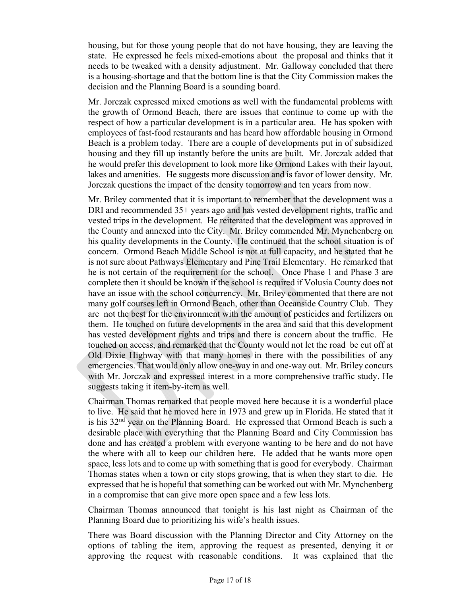housing, but for those young people that do not have housing, they are leaving the state. He expressed he feels mixed-emotions about the proposal and thinks that it needs to be tweaked with a density adjustment. Mr. Galloway concluded that there is a housing-shortage and that the bottom line is that the City Commission makes the decision and the Planning Board is a sounding board.

Mr. Jorczak expressed mixed emotions as well with the fundamental problems with the growth of Ormond Beach, there are issues that continue to come up with the respect of how a particular development is in a particular area. He has spoken with employees of fast-food restaurants and has heard how affordable housing in Ormond Beach is a problem today. There are a couple of developments put in of subsidized housing and they fill up instantly before the units are built. Mr. Jorczak added that he would prefer this development to look more like Ormond Lakes with their layout, lakes and amenities. He suggests more discussion and is favor of lower density. Mr. Jorczak questions the impact of the density tomorrow and ten years from now.

Mr. Briley commented that it is important to remember that the development was a DRI and recommended 35+ years ago and has vested development rights, traffic and vested trips in the development. He reiterated that the development was approved in the County and annexed into the City. Mr. Briley commended Mr. Mynchenberg on his quality developments in the County. He continued that the school situation is of concern. Ormond Beach Middle School is not at full capacity, and he stated that he is not sure about Pathways Elementary and Pine Trail Elementary. He remarked that he is not certain of the requirement for the school. Once Phase 1 and Phase 3 are complete then it should be known if the school is required if Volusia County does not have an issue with the school concurrency. Mr. Briley commented that there are not many golf courses left in Ormond Beach, other than Oceanside Country Club. They are not the best for the environment with the amount of pesticides and fertilizers on them. He touched on future developments in the area and said that this development has vested development rights and trips and there is concern about the traffic. He touched on access, and remarked that the County would not let the road be cut off at Old Dixie Highway with that many homes in there with the possibilities of any emergencies. That would only allow one-way in and one-way out. Mr. Briley concurs with Mr. Jorczak and expressed interest in a more comprehensive traffic study. He suggests taking it item-by-item as well.

Chairman Thomas remarked that people moved here because it is a wonderful place to live. He said that he moved here in 1973 and grew up in Florida. He stated that it is his 32nd year on the Planning Board. He expressed that Ormond Beach is such a desirable place with everything that the Planning Board and City Commission has done and has created a problem with everyone wanting to be here and do not have the where with all to keep our children here. He added that he wants more open space, less lots and to come up with something that is good for everybody. Chairman Thomas states when a town or city stops growing, that is when they start to die*.* He expressed that he is hopeful that something can be worked out with Mr. Mynchenberg in a compromise that can give more open space and a few less lots.

Chairman Thomas announced that tonight is his last night as Chairman of the Planning Board due to prioritizing his wife's health issues.

There was Board discussion with the Planning Director and City Attorney on the options of tabling the item, approving the request as presented, denying it or approving the request with reasonable conditions. It was explained that the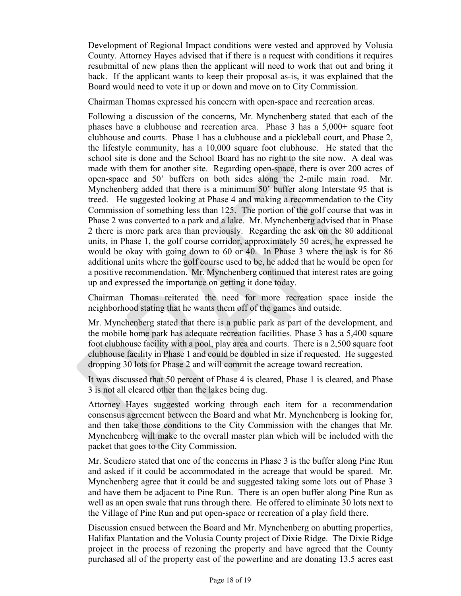Development of Regional Impact conditions were vested and approved by Volusia County. Attorney Hayes advised that if there is a request with conditions it requires resubmittal of new plans then the applicant will need to work that out and bring it back. If the applicant wants to keep their proposal as-is, it was explained that the Board would need to vote it up or down and move on to City Commission.

Chairman Thomas expressed his concern with open-space and recreation areas.

Following a discussion of the concerns, Mr. Mynchenberg stated that each of the phases have a clubhouse and recreation area. Phase 3 has a 5,000+ square foot clubhouse and courts. Phase 1 has a clubhouse and a pickleball court, and Phase 2, the lifestyle community, has a 10,000 square foot clubhouse. He stated that the school site is done and the School Board has no right to the site now. A deal was made with them for another site. Regarding open-space, there is over 200 acres of open-space and 50' buffers on both sides along the 2-mile main road. Mr. Mynchenberg added that there is a minimum 50' buffer along Interstate 95 that is treed. He suggested looking at Phase 4 and making a recommendation to the City Commission of something less than 125. The portion of the golf course that was in Phase 2 was converted to a park and a lake. Mr. Mynchenberg advised that in Phase 2 there is more park area than previously. Regarding the ask on the 80 additional units, in Phase 1, the golf course corridor, approximately 50 acres, he expressed he would be okay with going down to 60 or 40. In Phase 3 where the ask is for 86 additional units where the golf course used to be, he added that he would be open for a positive recommendation. Mr. Mynchenberg continued that interest rates are going up and expressed the importance on getting it done today.

Chairman Thomas reiterated the need for more recreation space inside the neighborhood stating that he wants them off of the games and outside.

Mr. Mynchenberg stated that there is a public park as part of the development, and the mobile home park has adequate recreation facilities. Phase 3 has a 5,400 square foot clubhouse facility with a pool, play area and courts. There is a 2,500 square foot clubhouse facility in Phase 1 and could be doubled in size if requested. He suggested dropping 30 lots for Phase 2 and will commit the acreage toward recreation.

It was discussed that 50 percent of Phase 4 is cleared, Phase 1 is cleared, and Phase 3 is not all cleared other than the lakes being dug.

Attorney Hayes suggested working through each item for a recommendation consensus agreement between the Board and what Mr. Mynchenberg is looking for, and then take those conditions to the City Commission with the changes that Mr. Mynchenberg will make to the overall master plan which will be included with the packet that goes to the City Commission.

Mr. Scudiero stated that one of the concerns in Phase 3 is the buffer along Pine Run and asked if it could be accommodated in the acreage that would be spared. Mr. Mynchenberg agree that it could be and suggested taking some lots out of Phase 3 and have them be adjacent to Pine Run. There is an open buffer along Pine Run as well as an open swale that runs through there. He offered to eliminate 30 lots next to the Village of Pine Run and put open-space or recreation of a play field there.

Discussion ensued between the Board and Mr. Mynchenberg on abutting properties, Halifax Plantation and the Volusia County project of Dixie Ridge. The Dixie Ridge project in the process of rezoning the property and have agreed that the County purchased all of the property east of the powerline and are donating 13.5 acres east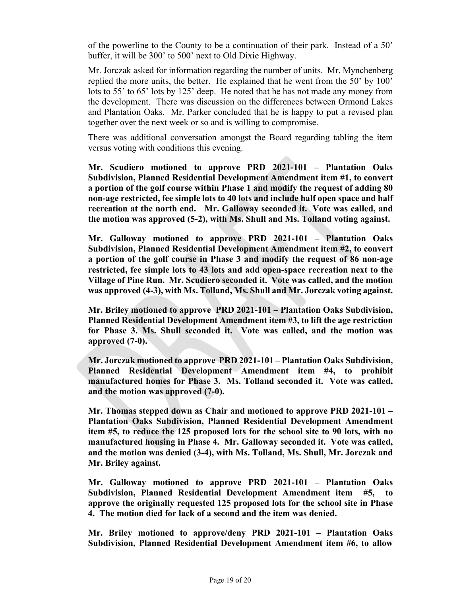of the powerline to the County to be a continuation of their park. Instead of a 50' buffer, it will be 300' to 500' next to Old Dixie Highway.

Mr. Jorczak asked for information regarding the number of units. Mr. Mynchenberg replied the more units, the better. He explained that he went from the 50' by 100' lots to 55' to 65' lots by 125' deep. He noted that he has not made any money from the development. There was discussion on the differences between Ormond Lakes and Plantation Oaks. Mr. Parker concluded that he is happy to put a revised plan together over the next week or so and is willing to compromise.

There was additional conversation amongst the Board regarding tabling the item versus voting with conditions this evening.

**Mr. Scudiero motioned to approve PRD 2021-101 – Plantation Oaks Subdivision, Planned Residential Development Amendment item #1, to convert a portion of the golf course within Phase 1 and modify the request of adding 80 non-age restricted, fee simple lots to 40 lots and include half open space and half recreation at the north end. Mr. Galloway seconded it. Vote was called, and the motion was approved (5-2), with Ms. Shull and Ms. Tolland voting against.** 

**Mr. Galloway motioned to approve PRD 2021-101 – Plantation Oaks Subdivision, Planned Residential Development Amendment item #2, to convert a portion of the golf course in Phase 3 and modify the request of 86 non-age restricted, fee simple lots to 43 lots and add open-space recreation next to the Village of Pine Run. Mr. Scudiero seconded it. Vote was called, and the motion was approved (4-3), with Ms. Tolland, Ms. Shull and Mr. Jorczak voting against.** 

**Mr. Briley motioned to approve PRD 2021-101 – Plantation Oaks Subdivision, Planned Residential Development Amendment item #3, to lift the age restriction for Phase 3. Ms. Shull seconded it. Vote was called, and the motion was approved (7-0).** 

**Mr. Jorczak motioned to approve PRD 2021-101 – Plantation Oaks Subdivision, Planned Residential Development Amendment item #4, to prohibit manufactured homes for Phase 3. Ms. Tolland seconded it. Vote was called, and the motion was approved (7-0).** 

**Mr. Thomas stepped down as Chair and motioned to approve PRD 2021-101 – Plantation Oaks Subdivision, Planned Residential Development Amendment item #5, to reduce the 125 proposed lots for the school site to 90 lots, with no manufactured housing in Phase 4. Mr. Galloway seconded it. Vote was called, and the motion was denied (3-4), with Ms. Tolland, Ms. Shull, Mr. Jorczak and Mr. Briley against.** 

**Mr. Galloway motioned to approve PRD 2021-101 – Plantation Oaks Subdivision, Planned Residential Development Amendment item #5, to approve the originally requested 125 proposed lots for the school site in Phase 4. The motion died for lack of a second and the item was denied.** 

**Mr. Briley motioned to approve/deny PRD 2021-101 – Plantation Oaks Subdivision, Planned Residential Development Amendment item #6, to allow**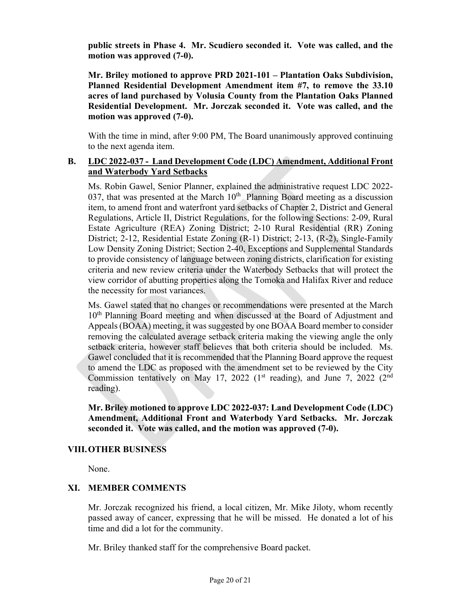**public streets in Phase 4. Mr. Scudiero seconded it. Vote was called, and the motion was approved (7-0).** 

**Mr. Briley motioned to approve PRD 2021-101 – Plantation Oaks Subdivision, Planned Residential Development Amendment item #7, to remove the 33.10 acres of land purchased by Volusia County from the Plantation Oaks Planned Residential Development. Mr. Jorczak seconded it. Vote was called, and the motion was approved (7-0).** 

With the time in mind, after 9:00 PM, The Board unanimously approved continuing to the next agenda item.

## **B. LDC 2022-037 - Land Development Code (LDC) Amendment, Additional Front and Waterbody Yard Setbacks**

Ms. Robin Gawel, Senior Planner, explained the administrative request LDC 2022- 037, that was presented at the March  $10<sup>th</sup>$  Planning Board meeting as a discussion item, to amend front and waterfront yard setbacks of Chapter 2, District and General Regulations, Article II, District Regulations, for the following Sections: 2-09, Rural Estate Agriculture (REA) Zoning District; 2-10 Rural Residential (RR) Zoning District; 2-12, Residential Estate Zoning (R-1) District; 2-13, (R-2), Single-Family Low Density Zoning District; Section 2-40, Exceptions and Supplemental Standards to provide consistency of language between zoning districts, clarification for existing criteria and new review criteria under the Waterbody Setbacks that will protect the view corridor of abutting properties along the Tomoka and Halifax River and reduce the necessity for most variances.

Ms. Gawel stated that no changes or recommendations were presented at the March 10th Planning Board meeting and when discussed at the Board of Adjustment and Appeals (BOAA) meeting, it was suggested by one BOAA Board member to consider removing the calculated average setback criteria making the viewing angle the only setback criteria, however staff believes that both criteria should be included. Ms. Gawel concluded that it is recommended that the Planning Board approve the request to amend the LDC as proposed with the amendment set to be reviewed by the City Commission tentatively on May 17, 2022 ( $1<sup>st</sup>$  reading), and June 7, 2022 ( $2<sup>nd</sup>$ reading).

**Mr. Briley motioned to approve LDC 2022-037: Land Development Code (LDC) Amendment, Additional Front and Waterbody Yard Setbacks. Mr. Jorczak seconded it. Vote was called, and the motion was approved (7-0).** 

### **VIII.OTHER BUSINESS**

None.

# **XI. MEMBER COMMENTS**

Mr. Jorczak recognized his friend, a local citizen, Mr. Mike Jiloty, whom recently passed away of cancer, expressing that he will be missed. He donated a lot of his time and did a lot for the community.

Mr. Briley thanked staff for the comprehensive Board packet.